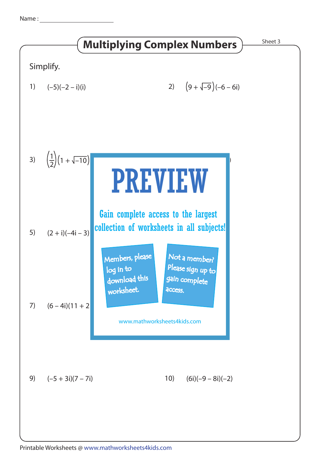